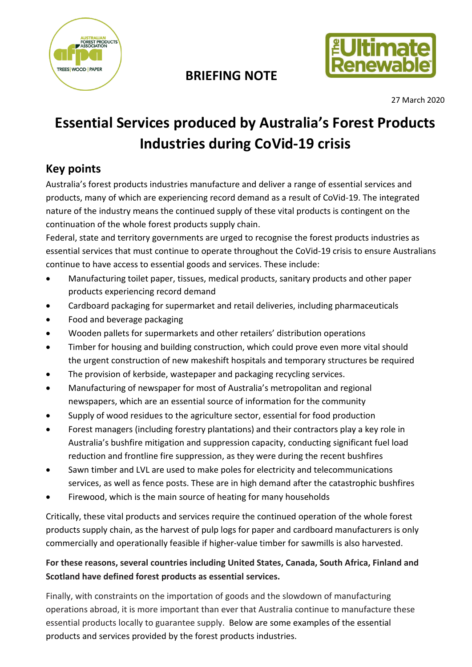

## **BRIEFING NOTE**



27 March 2020

# **Essential Services produced by Australia's Forest Products Industries during CoVid-19 crisis**

#### **Key points**

Australia's forest products industries manufacture and deliver a range of essential services and products, many of which are experiencing record demand as a result of CoVid-19. The integrated nature of the industry means the continued supply of these vital products is contingent on the continuation of the whole forest products supply chain.

Federal, state and territory governments are urged to recognise the forest products industries as essential services that must continue to operate throughout the CoVid-19 crisis to ensure Australians continue to have access to essential goods and services. These include:

- Manufacturing toilet paper, tissues, medical products, sanitary products and other paper products experiencing record demand
- Cardboard packaging for supermarket and retail deliveries, including pharmaceuticals
- Food and beverage packaging
- Wooden pallets for supermarkets and other retailers' distribution operations
- Timber for housing and building construction, which could prove even more vital should the urgent construction of new makeshift hospitals and temporary structures be required
- The provision of kerbside, wastepaper and packaging recycling services.
- Manufacturing of newspaper for most of Australia's metropolitan and regional newspapers, which are an essential source of information for the community
- Supply of wood residues to the agriculture sector, essential for food production
- Forest managers (including forestry plantations) and their contractors play a key role in Australia's bushfire mitigation and suppression capacity, conducting significant fuel load reduction and frontline fire suppression, as they were during the recent bushfires
- Sawn timber and LVL are used to make poles for electricity and telecommunications services, as well as fence posts. These are in high demand after the catastrophic bushfires
- Firewood, which is the main source of heating for many households

Critically, these vital products and services require the continued operation of the whole forest products supply chain, as the harvest of pulp logs for paper and cardboard manufacturers is only commercially and operationally feasible if higher-value timber for sawmills is also harvested.

#### **For these reasons, several countries including United States, Canada, South Africa, Finland and Scotland have defined forest products as essential services.**

Finally, with constraints on the importation of goods and the slowdown of manufacturing operations abroad, it is more important than ever that Australia continue to manufacture these essential products locally to guarantee supply. Below are some examples of the essential products and services provided by the forest products industries.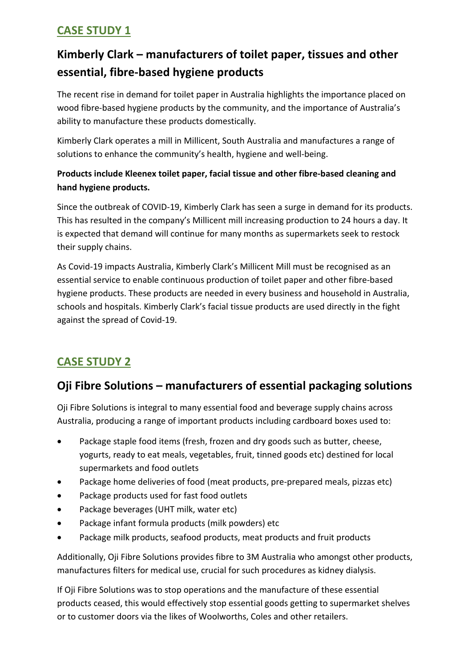## **Kimberly Clark – manufacturers of toilet paper, tissues and other essential, fibre-based hygiene products**

The recent rise in demand for toilet paper in Australia highlights the importance placed on wood fibre-based hygiene products by the community, and the importance of Australia's ability to manufacture these products domestically.

Kimberly Clark operates a mill in Millicent, South Australia and manufactures a range of solutions to enhance the community's health, hygiene and well-being.

#### **Products include Kleenex toilet paper, facial tissue and other fibre-based cleaning and hand hygiene products.**

Since the outbreak of COVID-19, Kimberly Clark has seen a surge in demand for its products. This has resulted in the company's Millicent mill increasing production to 24 hours a day. It is expected that demand will continue for many months as supermarkets seek to restock their supply chains.

As Covid-19 impacts Australia, Kimberly Clark's Millicent Mill must be recognised as an essential service to enable continuous production of toilet paper and other fibre-based hygiene products. These products are needed in every business and household in Australia, schools and hospitals. Kimberly Clark's facial tissue products are used directly in the fight against the spread of Covid-19.

### **CASE STUDY 2**

### **Oji Fibre Solutions – manufacturers of essential packaging solutions**

Oji Fibre Solutions is integral to many essential food and beverage supply chains across Australia, producing a range of important products including cardboard boxes used to:

- Package staple food items (fresh, frozen and dry goods such as butter, cheese, yogurts, ready to eat meals, vegetables, fruit, tinned goods etc) destined for local supermarkets and food outlets
- Package home deliveries of food (meat products, pre-prepared meals, pizzas etc)
- Package products used for fast food outlets
- Package beverages (UHT milk, water etc)
- Package infant formula products (milk powders) etc
- Package milk products, seafood products, meat products and fruit products

Additionally, Oji Fibre Solutions provides fibre to 3M Australia who amongst other products, manufactures filters for medical use, crucial for such procedures as kidney dialysis.

If Oji Fibre Solutions was to stop operations and the manufacture of these essential products ceased, this would effectively stop essential goods getting to supermarket shelves or to customer doors via the likes of Woolworths, Coles and other retailers.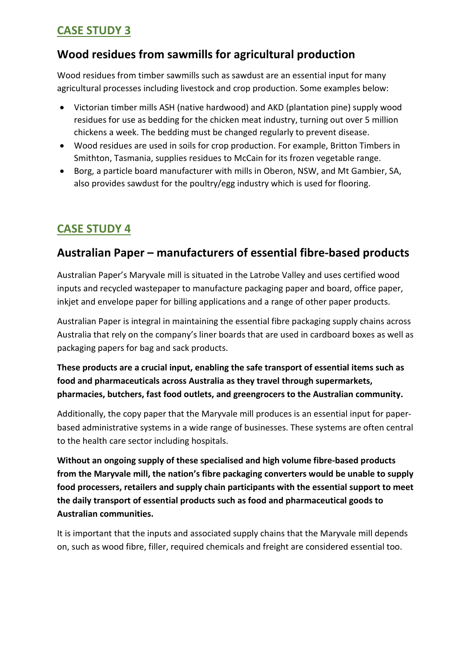#### **Wood residues from sawmills for agricultural production**

Wood residues from timber sawmills such as sawdust are an essential input for many agricultural processes including livestock and crop production. Some examples below:

- Victorian timber mills ASH (native hardwood) and AKD (plantation pine) supply wood residues for use as bedding for the chicken meat industry, turning out over 5 million chickens a week. The bedding must be changed regularly to prevent disease.
- Wood residues are used in soils for crop production. For example, Britton Timbers in Smithton, Tasmania, supplies residues to McCain for its frozen vegetable range.
- Borg, a particle board manufacturer with mills in Oberon, NSW, and Mt Gambier, SA, also provides sawdust for the poultry/egg industry which is used for flooring.

#### **CASE STUDY 4**

#### **Australian Paper – manufacturers of essential fibre-based products**

Australian Paper's Maryvale mill is situated in the Latrobe Valley and uses certified wood inputs and recycled wastepaper to manufacture packaging paper and board, office paper, inkjet and envelope paper for billing applications and a range of other paper products.

Australian Paper is integral in maintaining the essential fibre packaging supply chains across Australia that rely on the company's liner boards that are used in cardboard boxes as well as packaging papers for bag and sack products.

**These products are a crucial input, enabling the safe transport of essential items such as food and pharmaceuticals across Australia as they travel through supermarkets, pharmacies, butchers, fast food outlets, and greengrocers to the Australian community.**

Additionally, the copy paper that the Maryvale mill produces is an essential input for paperbased administrative systems in a wide range of businesses. These systems are often central to the health care sector including hospitals.

**Without an ongoing supply of these specialised and high volume fibre-based products from the Maryvale mill, the nation's fibre packaging converters would be unable to supply food processers, retailers and supply chain participants with the essential support to meet the daily transport of essential products such as food and pharmaceutical goods to Australian communities.**

It is important that the inputs and associated supply chains that the Maryvale mill depends on, such as wood fibre, filler, required chemicals and freight are considered essential too.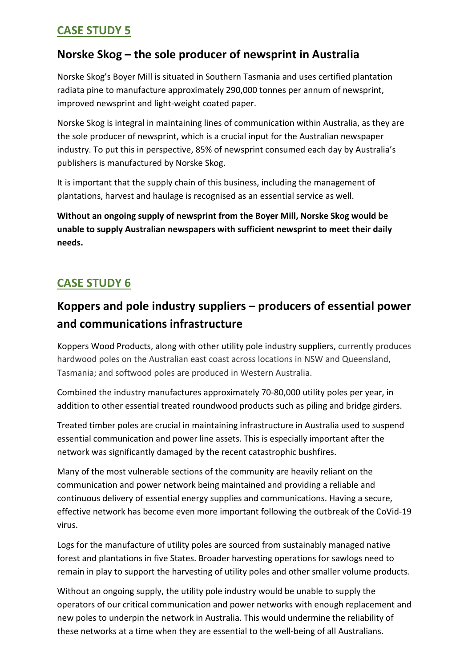#### **Norske Skog – the sole producer of newsprint in Australia**

Norske Skog's Boyer Mill is situated in Southern Tasmania and uses certified plantation radiata pine to manufacture approximately 290,000 tonnes per annum of newsprint, improved newsprint and light-weight coated paper.

Norske Skog is integral in maintaining lines of communication within Australia, as they are the sole producer of newsprint, which is a crucial input for the Australian newspaper industry. To put this in perspective, 85% of newsprint consumed each day by Australia's publishers is manufactured by Norske Skog.

It is important that the supply chain of this business, including the management of plantations, harvest and haulage is recognised as an essential service as well.

**Without an ongoing supply of newsprint from the Boyer Mill, Norske Skog would be unable to supply Australian newspapers with sufficient newsprint to meet their daily needs.**

### **CASE STUDY 6**

## **Koppers and pole industry suppliers – producers of essential power and communications infrastructure**

Koppers Wood Products, along with other utility pole industry suppliers, currently produces hardwood poles on the Australian east coast across locations in NSW and Queensland, Tasmania; and softwood poles are produced in Western Australia.

Combined the industry manufactures approximately 70-80,000 utility poles per year, in addition to other essential treated roundwood products such as piling and bridge girders.

Treated timber poles are crucial in maintaining infrastructure in Australia used to suspend essential communication and power line assets. This is especially important after the network was significantly damaged by the recent catastrophic bushfires.

Many of the most vulnerable sections of the community are heavily reliant on the communication and power network being maintained and providing a reliable and continuous delivery of essential energy supplies and communications. Having a secure, effective network has become even more important following the outbreak of the CoVid-19 virus.

Logs for the manufacture of utility poles are sourced from sustainably managed native forest and plantations in five States. Broader harvesting operations for sawlogs need to remain in play to support the harvesting of utility poles and other smaller volume products.

Without an ongoing supply, the utility pole industry would be unable to supply the operators of our critical communication and power networks with enough replacement and new poles to underpin the network in Australia. This would undermine the reliability of these networks at a time when they are essential to the well-being of all Australians.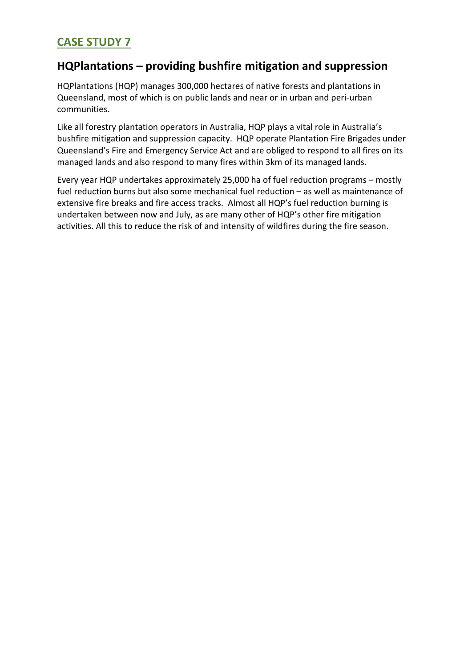#### **HQPlantations – providing bushfire mitigation and suppression**

HQPlantations (HQP) manages 300,000 hectares of native forests and plantations in Queensland, most of which is on public lands and near or in urban and peri-urban communities.

Like all forestry plantation operators in Australia, HQP plays a vital role in Australia's bushfire mitigation and suppression capacity. HQP operate Plantation Fire Brigades under Queensland's Fire and Emergency Service Act and are obliged to respond to all fires on its managed lands and also respond to many fires within 3km of its managed lands.

Every year HQP undertakes approximately 25,000 ha of fuel reduction programs – mostly fuel reduction burns but also some mechanical fuel reduction – as well as maintenance of extensive fire breaks and fire access tracks. Almost all HQP's fuel reduction burning is undertaken between now and July, as are many other of HQP's other fire mitigation activities. All this to reduce the risk of and intensity of wildfires during the fire season.